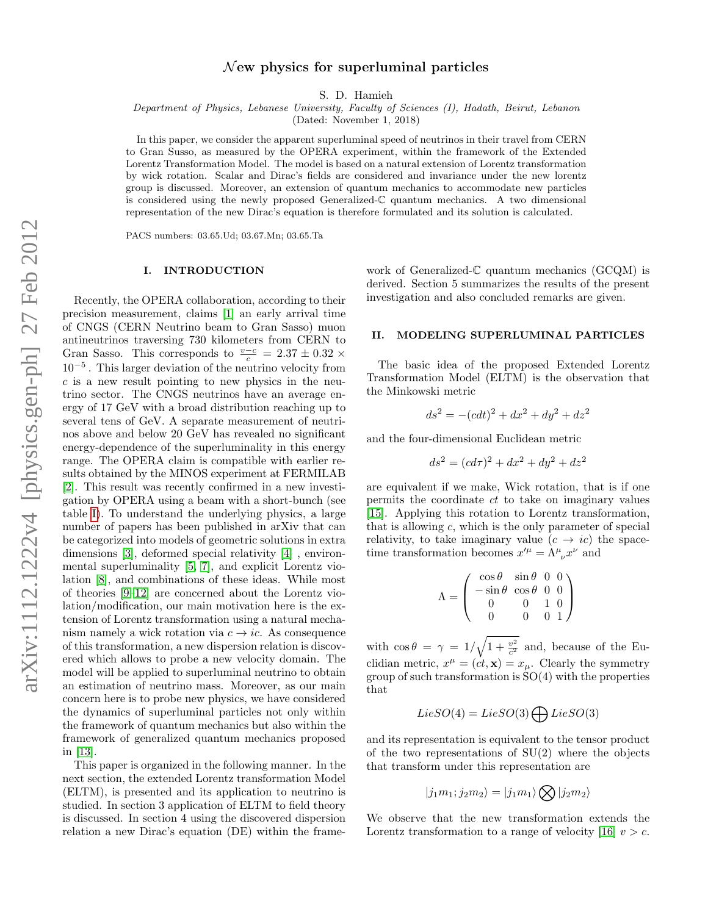# $\mathcal N$  ew physics for superluminal particles

S. D. Hamieh

Department of Physics, Lebanese University, Faculty of Sciences (I), Hadath, Beirut, Lebanon

(Dated: November 1, 2018)

In this paper, we consider the apparent superluminal speed of neutrinos in their travel from CERN to Gran Susso, as measured by the OPERA experiment, within the framework of the Extended Lorentz Transformation Model. The model is based on a natural extension of Lorentz transformation by wick rotation. Scalar and Dirac's fields are considered and invariance under the new lorentz group is discussed. Moreover, an extension of quantum mechanics to accommodate new particles is considered using the newly proposed Generalized-C quantum mechanics. A two dimensional representation of the new Dirac's equation is therefore formulated and its solution is calculated.

PACS numbers: 03.65.Ud; 03.67.Mn; 03.65.Ta

#### I. INTRODUCTION

Recently, the OPERA collaboration, according to their precision measurement, claims [\[1\]](#page-4-0) an early arrival time of CNGS (CERN Neutrino beam to Gran Sasso) muon antineutrinos traversing 730 kilometers from CERN to Gran Sasso. This corresponds to  $\frac{v-c}{c} = 2.37 \pm 0.32 \times$ 10<sup>−</sup><sup>5</sup> . This larger deviation of the neutrino velocity from  $c$  is a new result pointing to new physics in the neutrino sector. The CNGS neutrinos have an average energy of 17 GeV with a broad distribution reaching up to several tens of GeV. A separate measurement of neutrinos above and below 20 GeV has revealed no significant energy-dependence of the superluminality in this energy range. The OPERA claim is compatible with earlier results obtained by the MINOS experiment at FERMILAB [\[2\]](#page-4-1). This result was recently confirmed in a new investigation by OPERA using a beam with a short-bunch (see table [I\)](#page-1-0). To understand the underlying physics, a large number of papers has been published in arXiv that can be categorized into models of geometric solutions in extra dimensions [\[3\]](#page-4-2), deformed special relativity [\[4\]](#page-4-3) , environmental superluminality [\[5,](#page-4-4) [7\]](#page-4-5), and explicit Lorentz violation [\[8\]](#page-4-6), and combinations of these ideas. While most of theories [\[9–](#page-4-7)[12\]](#page-4-8) are concerned about the Lorentz violation/modification, our main motivation here is the extension of Lorentz transformation using a natural mechanism namely a wick rotation via  $c \rightarrow ic$ . As consequence of this transformation, a new dispersion relation is discovered which allows to probe a new velocity domain. The model will be applied to superluminal neutrino to obtain an estimation of neutrino mass. Moreover, as our main concern here is to probe new physics, we have considered the dynamics of superluminal particles not only within the framework of quantum mechanics but also within the framework of generalized quantum mechanics proposed in [\[13\]](#page-4-9).

This paper is organized in the following manner. In the next section, the extended Lorentz transformation Model (ELTM), is presented and its application to neutrino is studied. In section 3 application of ELTM to field theory is discussed. In section 4 using the discovered dispersion relation a new Dirac's equation (DE) within the frame-

work of Generalized-C quantum mechanics (GCQM) is derived. Section 5 summarizes the results of the present investigation and also concluded remarks are given.

#### II. MODELING SUPERLUMINAL PARTICLES

The basic idea of the proposed Extended Lorentz Transformation Model (ELTM) is the observation that the Minkowski metric

$$
ds^2 = -(cdt)^2 + dx^2 + dy^2 + dz^2
$$

and the four-dimensional Euclidean metric

$$
ds^2 = (cd\tau)^2 + dx^2 + dy^2 + dz^2
$$

are equivalent if we make, Wick rotation, that is if one permits the coordinate ct to take on imaginary values [\[15\]](#page-4-10). Applying this rotation to Lorentz transformation, that is allowing  $c$ , which is the only parameter of special relativity, to take imaginary value  $(c \rightarrow ic)$  the spacetime transformation becomes  $x^{\prime \mu} = \Lambda^{\mu}_{\ \nu} x^{\nu}$  and

$$
\Lambda = \begin{pmatrix} \cos \theta & \sin \theta & 0 & 0 \\ -\sin \theta & \cos \theta & 0 & 0 \\ 0 & 0 & 1 & 0 \\ 0 & 0 & 0 & 1 \end{pmatrix}
$$

with  $\cos \theta = \gamma = 1/\sqrt{1 + \frac{v^2}{c^2}}$  and, because of the Euclidian metric,  $x^{\mu} = (ct, \mathbf{x}) = x_{\mu}$ . Clearly the symmetry group of such transformation is  $SO(4)$  with the properties that

$$
LieSO(4) = LieSO(3) \bigoplus LieSO(3)
$$

and its representation is equivalent to the tensor product of the two representations of  $SU(2)$  where the objects that transform under this representation are

$$
|j_1m_1;j_2m_2\rangle = |j_1m_1\rangle \bigotimes |j_2m_2\rangle
$$

We observe that the new transformation extends the Lorentz transformation to a range of velocity [\[16\]](#page-4-11)  $v > c$ .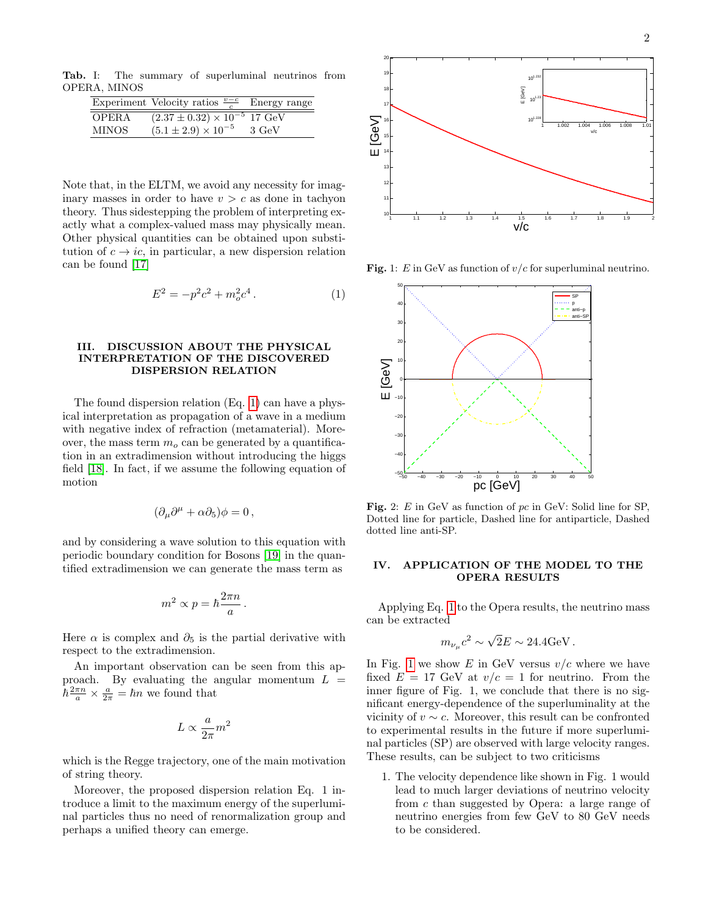Tab. I: The summary of superluminal neutrinos from OPERA, MINOS

<span id="page-1-0"></span>

|        | Experiment Velocity ratios $\frac{v-c}{c}$ Energy range |       |
|--------|---------------------------------------------------------|-------|
| OPERA  | $(2.37 \pm 0.32) \times 10^{-5}$ 17 GeV                 |       |
| MINOS- | $(5.1 \pm 2.9) \times 10^{-5}$                          | 3 GeV |

Note that, in the ELTM, we avoid any necessity for imaginary masses in order to have  $v > c$  as done in tachyon theory. Thus sidestepping the problem of interpreting exactly what a complex-valued mass may physically mean. Other physical quantities can be obtained upon substitution of  $c \to ic$ , in particular, a new dispersion relation can be found [\[17\]](#page-4-12)

<span id="page-1-1"></span>
$$
E^2 = -p^2c^2 + m_o^2c^4.
$$
 (1)

### III. DISCUSSION ABOUT THE PHYSICAL INTERPRETATION OF THE DISCOVERED DISPERSION RELATION

The found dispersion relation (Eq. [1\)](#page-1-1) can have a physical interpretation as propagation of a wave in a medium with negative index of refraction (metamaterial). Moreover, the mass term  $m<sub>o</sub>$  can be generated by a quantification in an extradimension without introducing the higgs field [\[18\]](#page-4-13). In fact, if we assume the following equation of motion

$$
(\partial_{\mu}\partial^{\mu} + \alpha\partial_5)\phi = 0,
$$

and by considering a wave solution to this equation with periodic boundary condition for Bosons [\[19\]](#page-4-14) in the quantified extradimension we can generate the mass term as

$$
m^2 \propto p = \hbar \frac{2\pi n}{a} \, .
$$

Here  $\alpha$  is complex and  $\partial_5$  is the partial derivative with respect to the extradimension.

An important observation can be seen from this approach. By evaluating the angular momentum  $L =$  $\hbar \frac{2\pi n}{a} \times \frac{a}{2\pi} = \hbar n$  we found that

$$
L \propto \frac{a}{2\pi} m^2
$$

which is the Regge trajectory, one of the main motivation of string theory.

Moreover, the proposed dispersion relation Eq. 1 introduce a limit to the maximum energy of the superluminal particles thus no need of renormalization group and perhaps a unified theory can emerge.



**Fig.** 1: E in GeV as function of  $v/c$  for superluminal neutrino.

<span id="page-1-2"></span>

<span id="page-1-3"></span>Fig. 2: E in GeV as function of pc in GeV: Solid line for SP, Dotted line for particle, Dashed line for antiparticle, Dashed dotted line anti-SP.

### IV. APPLICATION OF THE MODEL TO THE OPERA RESULTS

Applying Eq. [1](#page-1-1) to the Opera results, the neutrino mass can be extracted

$$
m_{\nu_{\mu}}c^2 \sim \sqrt{2}E \sim 24.4 {\rm GeV}.
$$

In Fig. [1](#page-1-2) we show  $E$  in GeV versus  $v/c$  where we have fixed  $E = 17$  GeV at  $v/c = 1$  for neutrino. From the inner figure of Fig. 1, we conclude that there is no significant energy-dependence of the superluminality at the vicinity of  $v \sim c$ . Moreover, this result can be confronted to experimental results in the future if more superluminal particles (SP) are observed with large velocity ranges. These results, can be subject to two criticisms

1. The velocity dependence like shown in Fig. 1 would lead to much larger deviations of neutrino velocity from c than suggested by Opera: a large range of neutrino energies from few GeV to 80 GeV needs to be considered.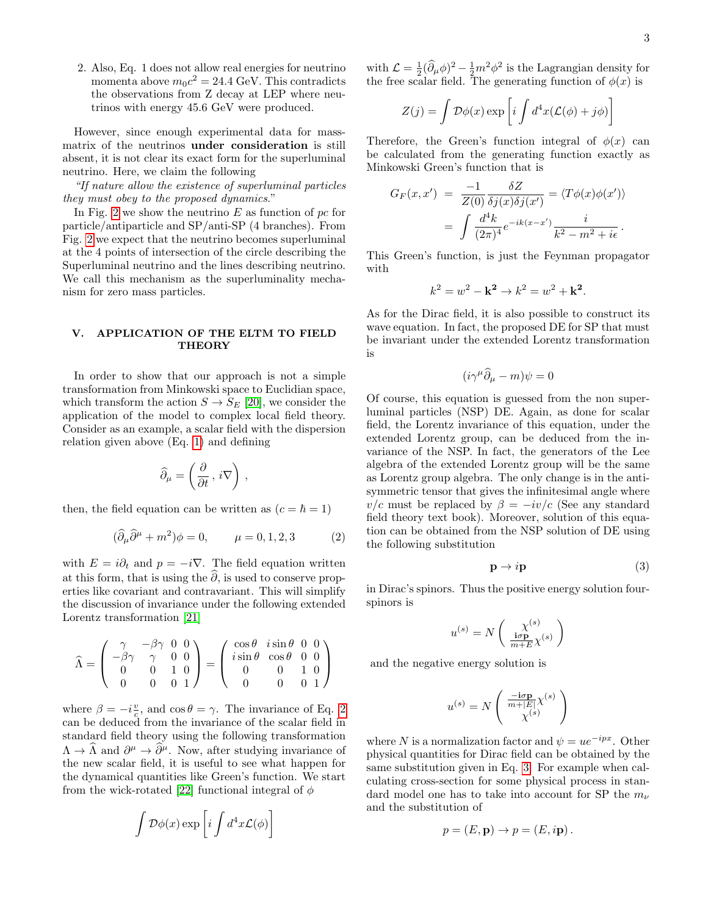2. Also, Eq. 1 does not allow real energies for neutrino momenta above  $m_0 c^2 = 24.4$  GeV. This contradicts the observations from Z decay at LEP where neutrinos with energy 45.6 GeV were produced.

However, since enough experimental data for massmatrix of the neutrinos under consideration is still absent, it is not clear its exact form for the superluminal neutrino. Here, we claim the following

"If nature allow the existence of superluminal particles they must obey to the proposed dynamics."

In Fig. [2](#page-1-3) we show the neutrino  $E$  as function of  $pc$  for particle/antiparticle and SP/anti-SP (4 branches). From Fig. [2](#page-1-3) we expect that the neutrino becomes superluminal at the 4 points of intersection of the circle describing the Superluminal neutrino and the lines describing neutrino. We call this mechanism as the superluminality mechanism for zero mass particles.

## V. APPLICATION OF THE ELTM TO FIELD **THEORY**

In order to show that our approach is not a simple transformation from Minkowski space to Euclidian space, which transform the action  $S \to S_E$  [\[20\]](#page-4-15), we consider the application of the model to complex local field theory. Consider as an example, a scalar field with the dispersion relation given above (Eq. [1\)](#page-1-1) and defining

$$
\widehat{\partial}_{\mu} = \left(\frac{\partial}{\partial t}, i\nabla\right),\,
$$

then, the field equation can be written as  $(c = \hbar = 1)$ 

<span id="page-2-0"></span>
$$
(\widehat{\partial}_{\mu}\widehat{\partial}^{\mu} + m^2)\phi = 0, \qquad \mu = 0, 1, 2, 3 \tag{2}
$$

with  $E = i\partial_t$  and  $p = -i\nabla$ . The field equation written at this form, that is using the  $\hat{\partial}$ , is used to conserve properties like covariant and contravariant. This will simplify the discussion of invariance under the following extended Lorentz transformation [\[21\]](#page-4-16)

$$
\widehat{\Lambda} = \begin{pmatrix} \gamma & -\beta\gamma & 0 & 0 \\ -\beta\gamma & \gamma & 0 & 0 \\ 0 & 0 & 1 & 0 \\ 0 & 0 & 0 & 1 \end{pmatrix} = \begin{pmatrix} \cos\theta & i\sin\theta & 0 & 0 \\ i\sin\theta & \cos\theta & 0 & 0 \\ 0 & 0 & 1 & 0 \\ 0 & 0 & 0 & 1 \end{pmatrix}
$$

where  $\beta = -i\frac{v}{c}$ , and  $\cos \theta = \gamma$ . The invariance of Eq. [2](#page-2-0) can be deduced from the invariance of the scalar field in standard field theory using the following transformation  $\Lambda \to \hat{\Lambda}$  and  $\partial^{\mu} \to \hat{\partial}^{\mu}$ . Now, after studying invariance of the new scalar field, it is useful to see what happen for the dynamical quantities like Green's function. We start from the wick-rotated [\[22\]](#page-4-17) functional integral of  $\phi$ 

<span id="page-2-1"></span>
$$
\int {\cal D}\phi(x) \exp\left[i\int d^4x {\cal L}(\phi)\right]
$$

with  $\mathcal{L} = \frac{1}{2}(\partial_{\mu}\phi)^2 - \frac{1}{2}m^2\phi^2$  is the Lagrangian density for the free scalar field. The generating function of  $\phi(x)$  is

$$
Z(j) = \int \mathcal{D}\phi(x) \exp \left[ i \int d^4x (\mathcal{L}(\phi) + j\phi) \right]
$$

Therefore, the Green's function integral of  $\phi(x)$  can be calculated from the generating function exactly as Minkowski Green's function that is

$$
G_F(x, x') = \frac{-1}{Z(0)} \frac{\delta Z}{\delta j(x)\delta j(x')} = \langle T\phi(x)\phi(x')\rangle
$$
  
= 
$$
\int \frac{d^4k}{(2\pi)^4} e^{-ik(x-x')} \frac{i}{k^2 - m^2 + i\epsilon}.
$$

This Green's function, is just the Feynman propagator with

$$
k^2 = w^2 - \mathbf{k^2} \to k^2 = w^2 + \mathbf{k^2}.
$$

As for the Dirac field, it is also possible to construct its wave equation. In fact, the proposed DE for SP that must be invariant under the extended Lorentz transformation is

$$
(i\gamma^{\mu}\bar{\partial}_{\mu} - m)\psi = 0
$$

Of course, this equation is guessed from the non superluminal particles (NSP) DE. Again, as done for scalar field, the Lorentz invariance of this equation, under the extended Lorentz group, can be deduced from the invariance of the NSP. In fact, the generators of the Lee algebra of the extended Lorentz group will be the same as Lorentz group algebra. The only change is in the antisymmetric tensor that gives the infinitesimal angle where  $v/c$  must be replaced by  $\beta = -iv/c$  (See any standard field theory text book). Moreover, solution of this equation can be obtained from the NSP solution of DE using the following substitution

$$
\mathbf{p} \to i\mathbf{p} \tag{3}
$$

in Dirac's spinors. Thus the positive energy solution fourspinors is

$$
u^{(s)} = N\left(\frac{\chi^{(s)}}{\frac{\textbf{i}\sigma \mathbf{p}}{m+E}\chi^{(s)}}\right)
$$

and the negative energy solution is

$$
u^{(s)} = N \left( \begin{array}{c} \frac{-\mathbf{i}\sigma \mathbf{p}}{m + |E|} \chi^{(s)} \\ \chi^{(s)} \end{array} \right)
$$

where N is a normalization factor and  $\psi = ue^{-ipx}$ . Other physical quantities for Dirac field can be obtained by the same substitution given in Eq. [3.](#page-2-1) For example when calculating cross-section for some physical process in standard model one has to take into account for SP the  $m_{\nu}$ and the substitution of

$$
p = (E, \mathbf{p}) \to p = (E, i\mathbf{p}).
$$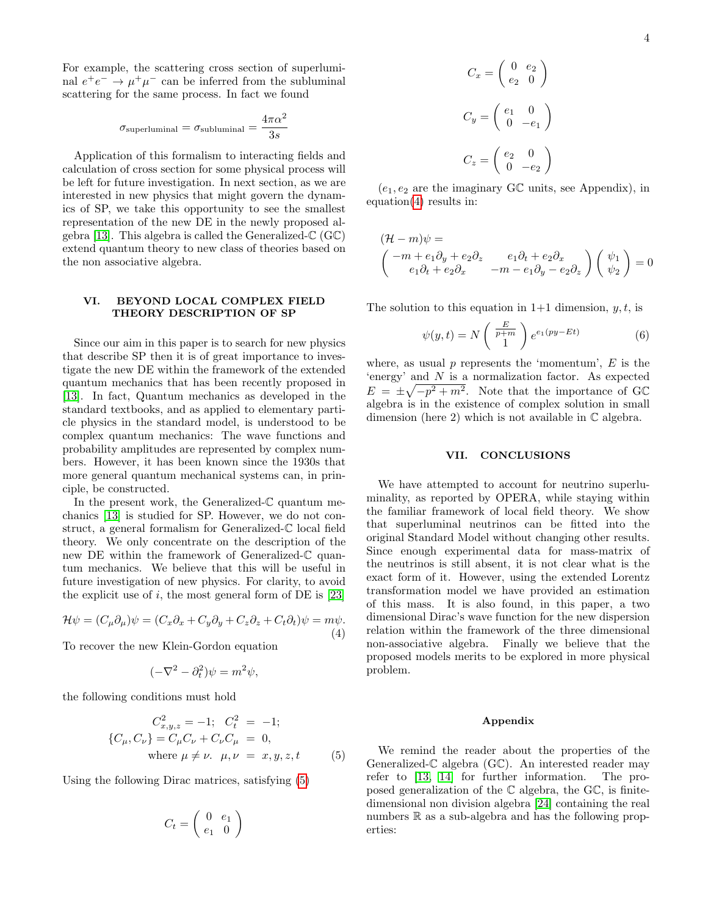For example, the scattering cross section of superluminal  $e^+e^- \rightarrow \mu^+\mu^-$  can be inferred from the subluminal scattering for the same process. In fact we found

$$
\sigma_{\rm superluminal} = \sigma_{\rm subluminal} = \frac{4\pi\alpha^2}{3s}
$$

Application of this formalism to interacting fields and calculation of cross section for some physical process will be left for future investigation. In next section, as we are interested in new physics that might govern the dynamics of SP, we take this opportunity to see the smallest representation of the new DE in the newly proposed al-gebra [\[13\]](#page-4-9). This algebra is called the Generalized- $\mathbb{C}$  (GC) extend quantum theory to new class of theories based on the non associative algebra.

#### VI. BEYOND LOCAL COMPLEX FIELD THEORY DESCRIPTION OF SP

Since our aim in this paper is to search for new physics that describe SP then it is of great importance to investigate the new DE within the framework of the extended quantum mechanics that has been recently proposed in [\[13\]](#page-4-9). In fact, Quantum mechanics as developed in the standard textbooks, and as applied to elementary particle physics in the standard model, is understood to be complex quantum mechanics: The wave functions and probability amplitudes are represented by complex numbers. However, it has been known since the 1930s that more general quantum mechanical systems can, in principle, be constructed.

In the present work, the Generalized- $\mathbb C$  quantum mechanics [\[13\]](#page-4-9) is studied for SP. However, we do not construct, a general formalism for Generalized-C local field theory. We only concentrate on the description of the new DE within the framework of Generalized-C quantum mechanics. We believe that this will be useful in future investigation of new physics. For clarity, to avoid the explicit use of i, the most general form of DE is  $[23]$ 

<span id="page-3-1"></span>
$$
\mathcal{H}\psi = (C_{\mu}\partial_{\mu})\psi = (C_{x}\partial_{x} + C_{y}\partial_{y} + C_{z}\partial_{z} + C_{t}\partial_{t})\psi = m\psi.
$$
\n(4)

To recover the new Klein-Gordon equation

<span id="page-3-0"></span>
$$
(-\nabla^2 - \partial_t^2)\psi = m^2\psi,
$$

the following conditions must hold

$$
C_{x,y,z}^{2} = -1; \quad C_{t}^{2} = -1; \n\{C_{\mu}, C_{\nu}\} = C_{\mu}C_{\nu} + C_{\nu}C_{\mu} = 0, \n\text{where } \mu \neq \nu. \quad \mu, \nu = x, y, z, t
$$
\n(5)

Using the following Dirac matrices, satisfying [\(5\)](#page-3-0)

$$
C_t = \left(\begin{array}{cc} 0 & e_1 \\ e_1 & 0 \end{array}\right)
$$

$$
C_x = \begin{pmatrix} 0 & e_2 \\ e_2 & 0 \end{pmatrix}
$$

$$
C_y = \begin{pmatrix} e_1 & 0 \\ 0 & -e_1 \end{pmatrix}
$$

$$
C_z = \begin{pmatrix} e_2 & 0 \\ 0 & -e_2 \end{pmatrix}
$$

 $(e_1, e_2$  are the imaginary GC units, see Appendix), in equation[\(4\)](#page-3-1) results in:

$$
(\mathcal{H} - m)\psi =
$$
  

$$
\begin{pmatrix} -m + e_1 \partial_y + e_2 \partial_z & e_1 \partial_t + e_2 \partial_x \\ e_1 \partial_t + e_2 \partial_x & -m - e_1 \partial_y - e_2 \partial_z \end{pmatrix} \begin{pmatrix} \psi_1 \\ \psi_2 \end{pmatrix} = 0
$$

The solution to this equation in  $1+1$  dimension, y, t, is

$$
\psi(y,t) = N\left(\begin{array}{c}\frac{E}{p+m}\\1\end{array}\right)e^{e_1(py-Et)}\tag{6}
$$

where, as usual  $p$  represents the 'momentum',  $E$  is the 'energy' and N is a normalization factor. As expected  $E = \pm \sqrt{-p^2 + m^2}$ . Note that the importance of GC algebra is in the existence of complex solution in small dimension (here 2) which is not available in  $\mathbb C$  algebra.

## VII. CONCLUSIONS

We have attempted to account for neutrino superluminality, as reported by OPERA, while staying within the familiar framework of local field theory. We show that superluminal neutrinos can be fitted into the original Standard Model without changing other results. Since enough experimental data for mass-matrix of the neutrinos is still absent, it is not clear what is the exact form of it. However, using the extended Lorentz transformation model we have provided an estimation of this mass. It is also found, in this paper, a two dimensional Dirac's wave function for the new dispersion relation within the framework of the three dimensional non-associative algebra. Finally we believe that the proposed models merits to be explored in more physical problem.

#### Appendix

We remind the reader about the properties of the Generalized-C algebra (GC). An interested reader may refer to [\[13,](#page-4-9) [14\]](#page-4-19) for further information. The proposed generalization of the C algebra, the GC, is finitedimensional non division algebra [\[24\]](#page-4-20) containing the real numbers  $\mathbb R$  as a sub-algebra and has the following properties: